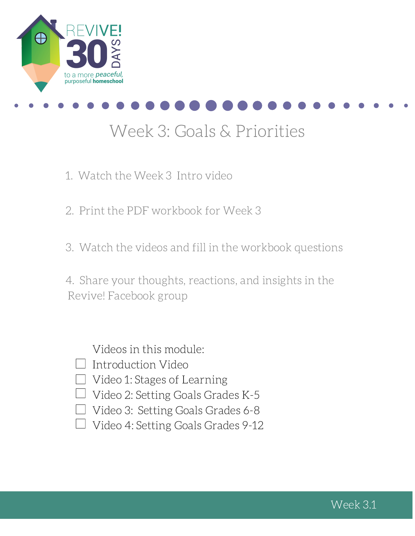



# Week 3: Goals & Priorities

- 1. Watch the Week 3 Intro video
- 2. Print the PDF workbook for Week 3
- 3. Watch the videos and fill in the workbook questions

4. Share your thoughts, reactions, and insights in the Revive! Facebook group

Videos in this module:

- $\Box$  Introduction Video
- $\Box$  Video 1: Stages of Learning
- $\Box$  Video 2: Setting Goals Grades K-5
- $\Box$  Video 3: Setting Goals Grades 6-8
- $\Box$  Video 4: Setting Goals Grades 9-12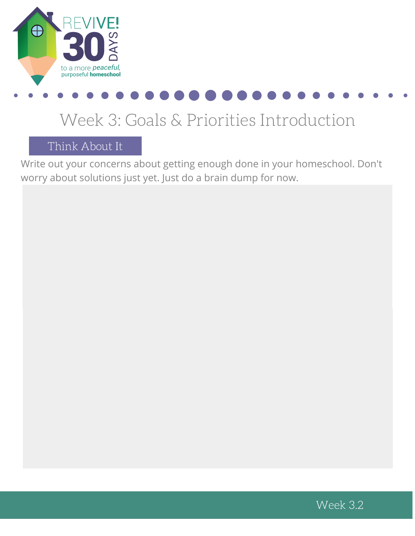

# Week 3: Goals & Priorities Introduction

Think About It

Write out your concerns about getting enough done in your homeschool. Don't worry about solutions just yet. Just do a brain dump for now.

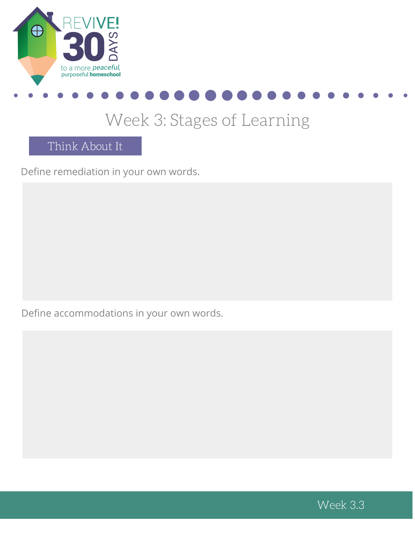



### Week 3: Stages of Learning

Think About It

Define remediation in your own words.

Define accommodations in your own words.

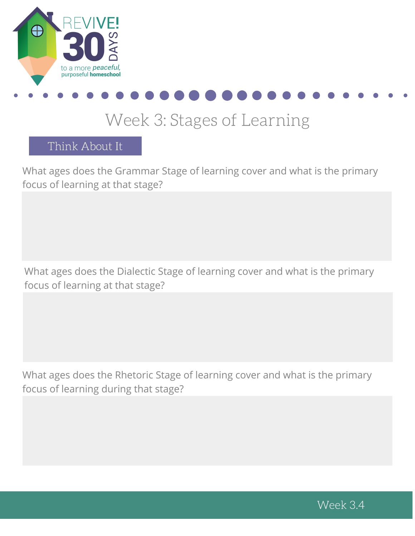



### Week 3: Stages of Learning

Think About It

What ages does the Grammar Stage of learning cover and what is the primary focus of learning at that stage?

What ages does the Dialectic Stage of learning cover and what is the primary focus of learning at that stage?

What ages does the Rhetoric Stage of learning cover and what is the primary focus of learning during that stage?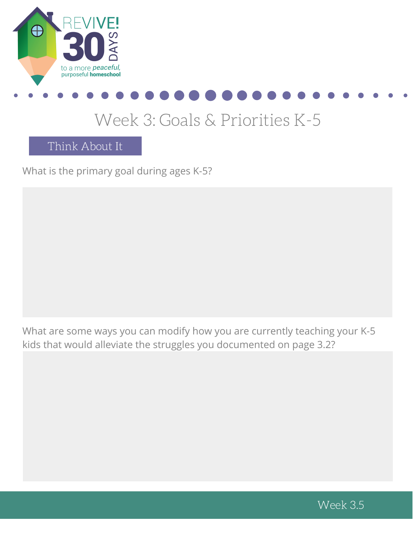



## Week 3: Goals & Priorities K-5

Think About It

What is the primary goal during ages K-5?

What are some ways you can modify how you are currently teaching your K-5 kids that would alleviate the struggles you documented on page 3.2?

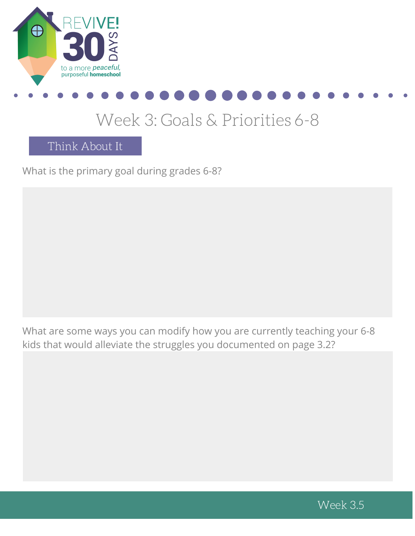



## Week 3: Goals & Priorities 6-8

Think About It

What is the primary goal during grades 6-8?

What are some ways you can modify how you are currently teaching your 6-8 kids that would alleviate the struggles you documented on page 3.2?

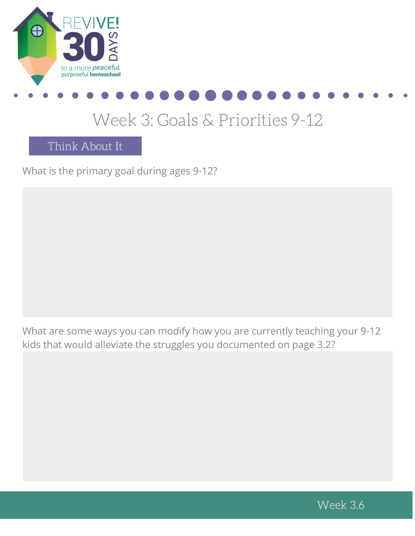



## Week 3: Goals & Priorities 9-12

Think About It

What is the primary goal during ages 9-12?

What are some ways you can modify how you are currently teaching your 9-12 kids that would alleviate the struggles you documented on page 3.2?